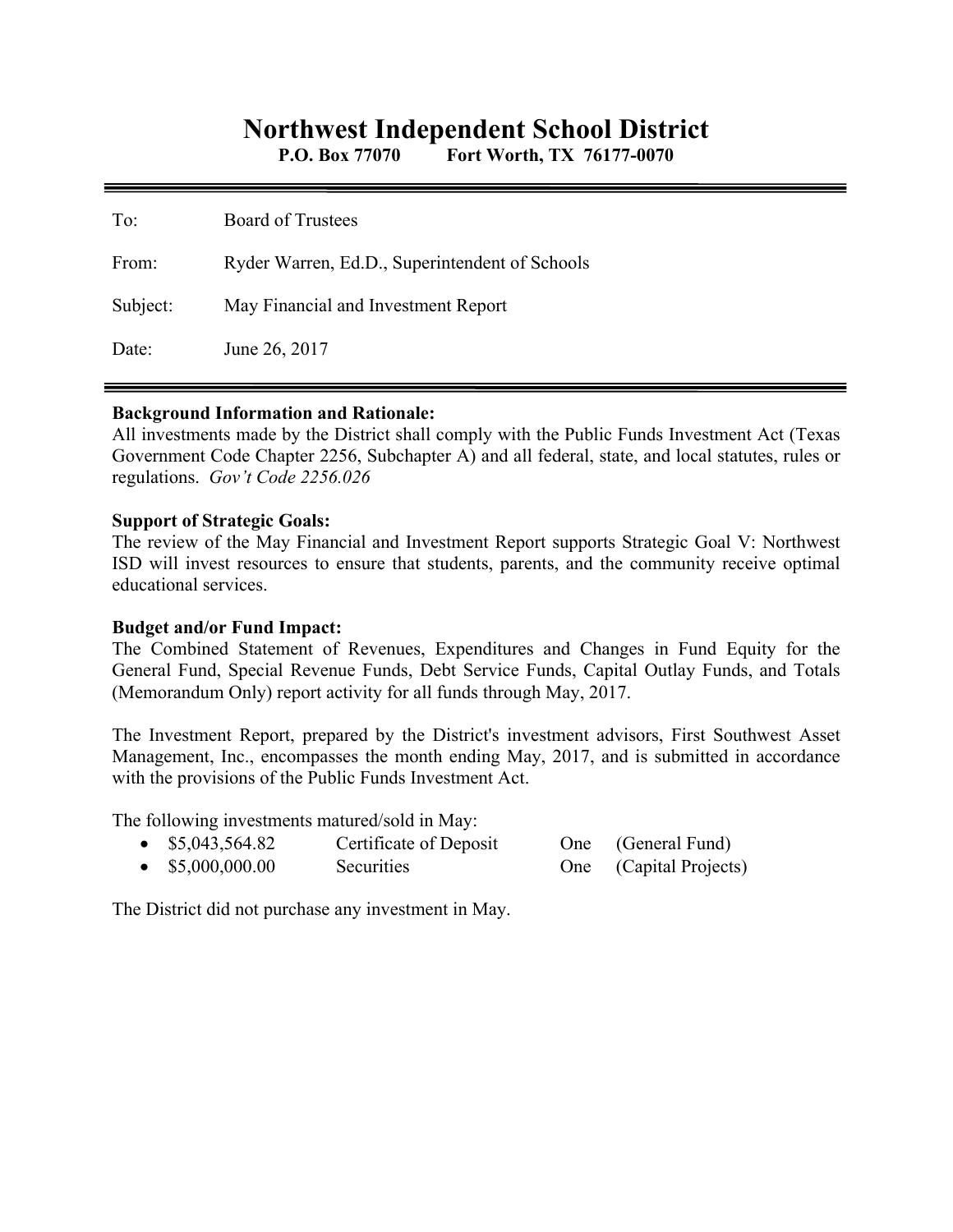# **Northwest Independent School District**

**P.O. Box 77070 Fort Worth, TX 76177-0070** 

| To:      | <b>Board of Trustees</b>                       |
|----------|------------------------------------------------|
| From:    | Ryder Warren, Ed.D., Superintendent of Schools |
| Subject: | May Financial and Investment Report            |
| Date:    | June 26, 2017                                  |

#### **Background Information and Rationale:**

All investments made by the District shall comply with the Public Funds Investment Act (Texas Government Code Chapter 2256, Subchapter A) and all federal, state, and local statutes, rules or regulations. *Gov't Code 2256.026* 

#### **Support of Strategic Goals:**

The review of the May Financial and Investment Report supports Strategic Goal V: Northwest ISD will invest resources to ensure that students, parents, and the community receive optimal educational services.

#### **Budget and/or Fund Impact:**

The Combined Statement of Revenues, Expenditures and Changes in Fund Equity for the General Fund, Special Revenue Funds, Debt Service Funds, Capital Outlay Funds, and Totals (Memorandum Only) report activity for all funds through May, 2017.

The Investment Report, prepared by the District's investment advisors, First Southwest Asset Management, Inc., encompasses the month ending May, 2017, and is submitted in accordance with the provisions of the Public Funds Investment Act.

The following investments matured/sold in May:

| \$5,043,564.82 | Certificate of Deposit | One (General Fund)     |
|----------------|------------------------|------------------------|
| \$5,000,000.00 | Securities             | One (Capital Projects) |

The District did not purchase any investment in May.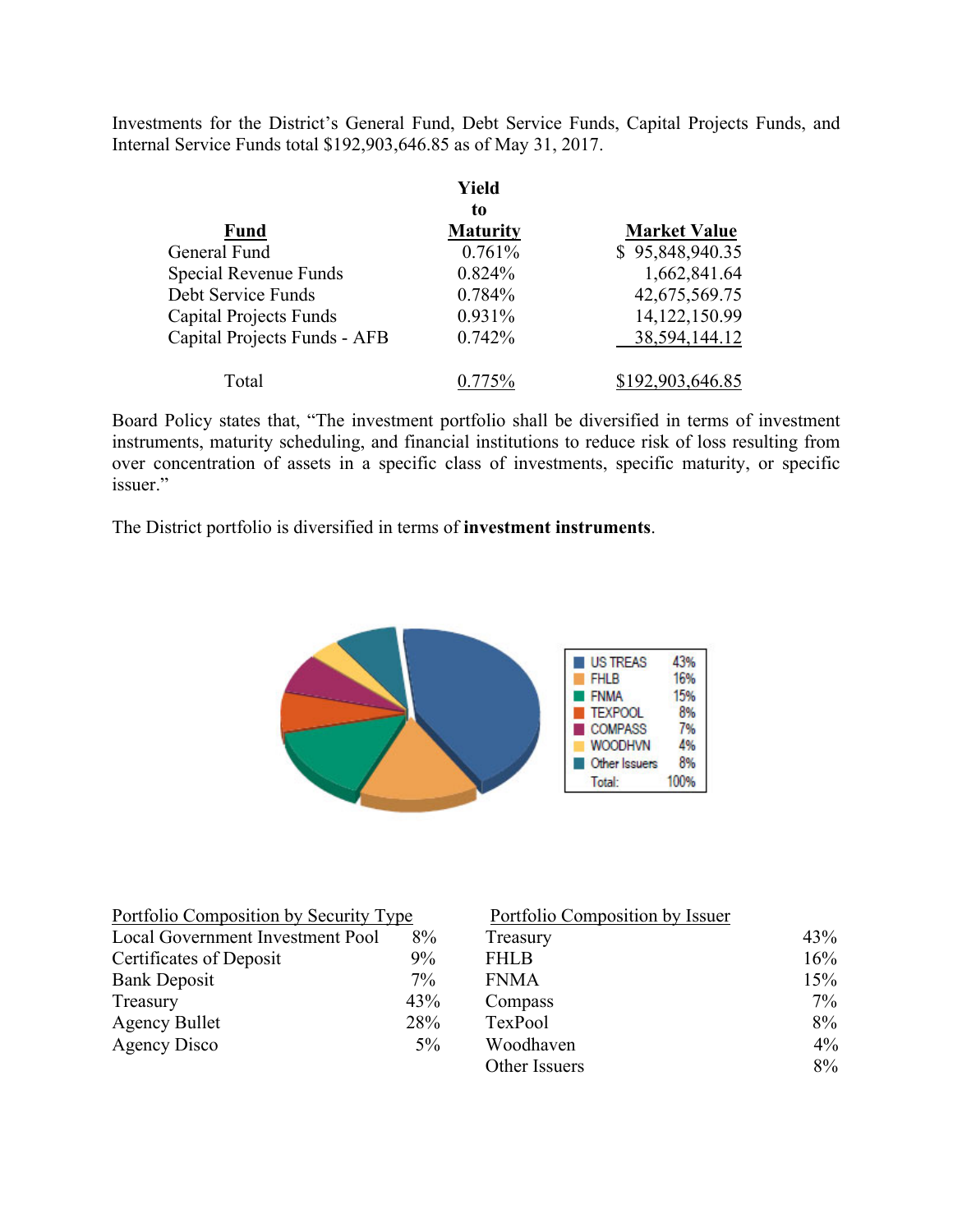Investments for the District's General Fund, Debt Service Funds, Capital Projects Funds, and Internal Service Funds total \$192,903,646.85 as of May 31, 2017.

|                               | Yield           |                     |
|-------------------------------|-----------------|---------------------|
|                               | to              |                     |
| <b>Fund</b>                   | <b>Maturity</b> | <b>Market Value</b> |
| General Fund                  | 0.761%          | \$95,848,940.35     |
| Special Revenue Funds         | 0.824%          | 1,662,841.64        |
| Debt Service Funds            | 0.784%          | 42,675,569.75       |
| <b>Capital Projects Funds</b> | 0.931%          | 14,122,150.99       |
| Capital Projects Funds - AFB  | 0.742%          | 38,594,144.12       |
| Total                         | በ 775%          | \$192,903,646.85    |

Board Policy states that, "The investment portfolio shall be diversified in terms of investment instruments, maturity scheduling, and financial institutions to reduce risk of loss resulting from over concentration of assets in a specific class of investments, specific maturity, or specific issuer."

The District portfolio is diversified in terms of **investment instruments**.



| Portfolio Composition by Security Type |       | Portfolio Composition by Issuer |       |
|----------------------------------------|-------|---------------------------------|-------|
| Local Government Investment Pool       | 8%    | Treasury                        | 43%   |
| Certificates of Deposit                | 9%    | <b>FHLB</b>                     | 16%   |
| <b>Bank Deposit</b>                    | $7\%$ | <b>FNMA</b>                     | 15%   |
| Treasury                               | 43%   | Compass                         | $7\%$ |
| <b>Agency Bullet</b>                   | 28%   | TexPool                         | $8\%$ |
| Agency Disco                           | $5\%$ | Woodhaven                       | $4\%$ |
|                                        |       | Other Issuers                   | 8%    |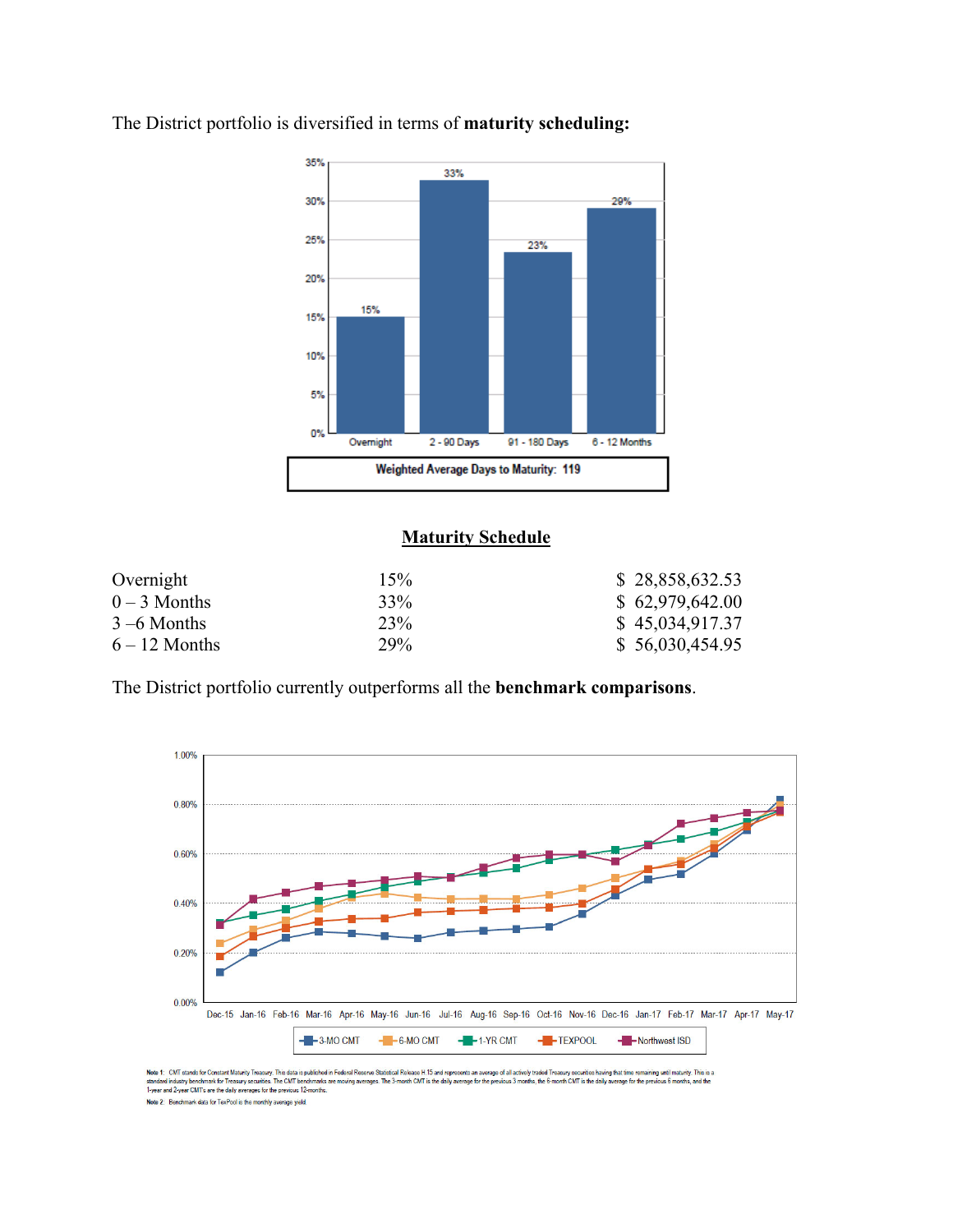

The District portfolio is diversified in terms of **maturity scheduling:** 

### **Maturity Schedule**

| Overnight       | 15% | \$28,858,632.53 |
|-----------------|-----|-----------------|
| $0-3$ Months    | 33% | \$62,979,642.00 |
| $3 - 6$ Months  | 23% | \$45,034,917.37 |
| $6 - 12$ Months | 29% | \$56,030,454.95 |

The District portfolio currently outperforms all the **benchmark comparisons**.



Note 1: CMT stands for Constant Maturity Treasury. This data is published in Federal Resene Statistical Release H.15 and represents an average of all actively traded Treasury securities having that time remaining until mat Note 2: Benchmark data for TexPool is the monthly average yield.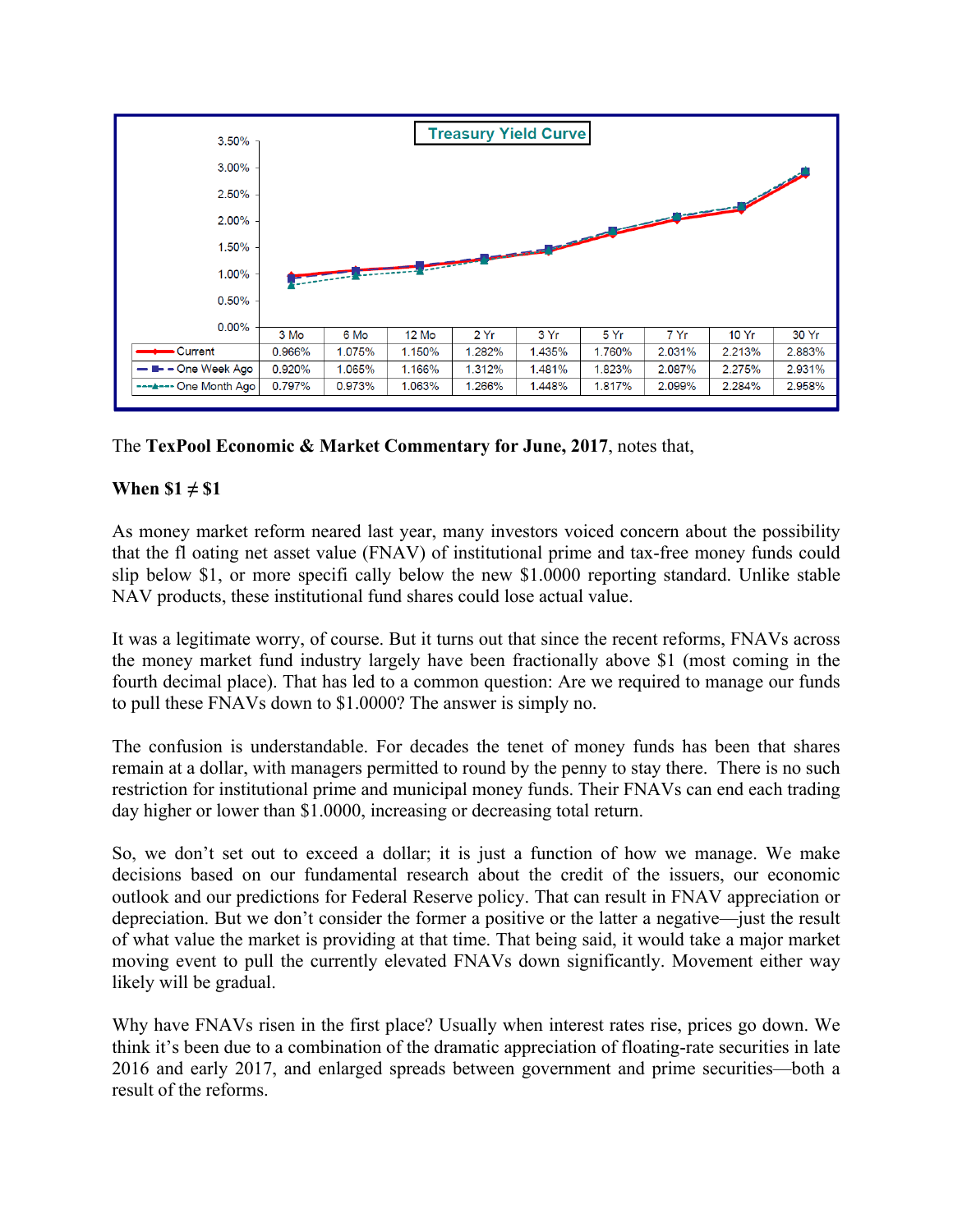

The **TexPool Economic & Market Commentary for June, 2017**, notes that,

## **When \$1 ≠ \$1**

As money market reform neared last year, many investors voiced concern about the possibility that the fl oating net asset value (FNAV) of institutional prime and tax-free money funds could slip below \$1, or more specifi cally below the new \$1.0000 reporting standard. Unlike stable NAV products, these institutional fund shares could lose actual value.

It was a legitimate worry, of course. But it turns out that since the recent reforms, FNAVs across the money market fund industry largely have been fractionally above \$1 (most coming in the fourth decimal place). That has led to a common question: Are we required to manage our funds to pull these FNAVs down to \$1.0000? The answer is simply no.

The confusion is understandable. For decades the tenet of money funds has been that shares remain at a dollar, with managers permitted to round by the penny to stay there. There is no such restriction for institutional prime and municipal money funds. Their FNAVs can end each trading day higher or lower than \$1.0000, increasing or decreasing total return.

So, we don't set out to exceed a dollar; it is just a function of how we manage. We make decisions based on our fundamental research about the credit of the issuers, our economic outlook and our predictions for Federal Reserve policy. That can result in FNAV appreciation or depreciation. But we don't consider the former a positive or the latter a negative—just the result of what value the market is providing at that time. That being said, it would take a major market moving event to pull the currently elevated FNAVs down significantly. Movement either way likely will be gradual.

Why have FNAVs risen in the first place? Usually when interest rates rise, prices go down. We think it's been due to a combination of the dramatic appreciation of floating-rate securities in late 2016 and early 2017, and enlarged spreads between government and prime securities—both a result of the reforms.